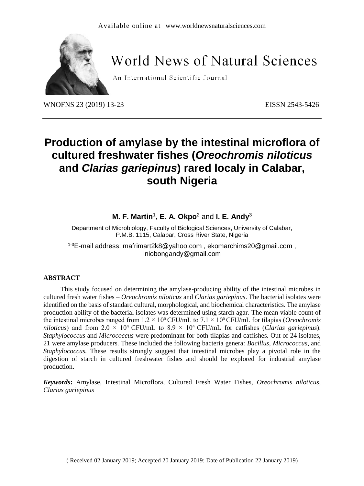

# World News of Natural Sciences

An International Scientific Journal

WNOFNS 23 (2019) 13-23<br>
EISSN 2543-5426

# **Production of amylase by the intestinal microflora of cultured freshwater fishes (***Oreochromis niloticus* **and** *Clarias gariepinus***) rared localy in Calabar, south Nigeria**

**M. F. Martin**<sup>1</sup> **, E. A. Okpo**<sup>2</sup> and **I. E. Andy**<sup>3</sup>

Department of Microbiology, Faculty of Biological Sciences, University of Calabar, P.M.B. 1115, Calabar, Cross River State, Nigeria

1-3E-mail address: [mafrimart2k8@yahoo.com](mailto:Mafrimart2k8@yahoo.com) , [ekomarchims20@gmail.com](mailto:ekomarchims20@gmail.com) , [iniobongandy@gmail.com](mailto:iniobongandy@gmail.com)

### **ABSTRACT**

This study focused on determining the amylase-producing ability of the intestinal microbes in cultured fresh water fishes – *Oreochromis niloticus* and *Clarias gariepinus*. The bacterial isolates were identified on the basis of standard cultural, morphological, and biochemical characteristics. The amylase production ability of the bacterial isolates was determined using starch agar. The mean viable count of the intestinal microbes ranged from  $1.2 \times 10^5$  CFU/mL to  $7.1 \times 10^5$  CFU/mL for tilapias (*Oreochromis niloticus*) and from 2.0  $\times$  10<sup>4</sup> CFU/mL to 8.9  $\times$  10<sup>4</sup> CFU/mL for catfishes (*Clarias gariepinus*). *Staphylococcus* and *Micrococcus* were predominant for both tilapias and catfishes. Out of 24 isolates, 21 were amylase producers. These included the following bacteria genera: *Bacillus*, *Micrococcus*, and *Staphylococcus.* These results strongly suggest that intestinal microbes play a pivotal role in the digestion of starch in cultured freshwater fishes and should be explored for industrial amylase production.

*Keywords***:** Amylase, Intestinal Microflora, Cultured Fresh Water Fishes, *Oreochromis niloticus*, *Clarias gariepinus*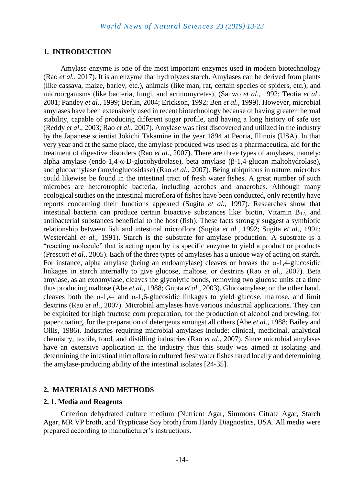### **1. INTRODUCTION**

Amylase enzyme is one of the most important enzymes used in modern biotechnology (Rao *et al.*, 2017). It is an enzyme that hydrolyzes starch. Amylases can be derived from plants (like cassava, maize, barley, etc.), animals (like man, rat, certain species of spiders, etc.), and microorganisms (like bacteria, fungi, and actinomycetes), (Sanwo *et al*., 1992; Teotia *et al*., 2001; Pandey *et al*., 1999; Berlin, 2004; Erickson, 1992; Ben *et al.,* 1999). However, microbial amylases have been extensively used in recent biotechnology because of having greater thermal stability, capable of producing different sugar profile, and having a long history of safe use (Reddy *et al*., 2003; Rao *et al.,* 2007). Amylase was first discovered and utilized in the industry by the Japanese scientist Jokichi Takamine in the year 1894 at Peoria, Illinois (USA). In that very year and at the same place, the amylase produced was used as a pharmaceutical aid for the treatment of digestive disorders (Rao *et al*., 2007). There are three types of amylases, namely: alpha amylase (endo-1,4-α-D-glucohydrolase), beta amylase (β-1,4-glucan maltohydrolase), and glucoamylase (amyloglucosidase) (Rao *et al*., 2007). Being ubiquitous in nature, microbes could likewise be found in the intestinal tract of fresh water fishes. A great number of such microbes are heterotrophic bacteria, including aerobes and anaerobes. Although many ecological studies on the intestinal microflora of fishes have been conducted, only recently have reports concerning their functions appeared (Sugita *et al.,* 1997). Researches show that intestinal bacteria can produce certain bioactive substances like: biotin, Vitamin  $B_{12}$ , and antibacterial substances beneficial to the host (fish). These facts strongly suggest a symbiotic relationship between fish and intestinal microflora (Sugita *et al.,* 1992; Sugita *et al*., 1991; Westerdahl *et al.,* 1991). Starch is the substrate for amylase production. A substrate is a "reacting molecule" that is acting upon by its specific enzyme to yield a product or products (Prescott *et al*., 2005). Each of the three types of amylases has a unique way of acting on starch. For instance, alpha amylase (being an endoamylase) cleaves or breaks the  $\alpha$ -1,4-glucosidic linkages in starch internally to give glucose, maltose, or dextrins (Rao *et al*., 2007). Beta amylase, as an exoamylase, cleaves the glycolytic bonds, removing two glucose units at a time thus producing maltose (Abe *et al*., 1988; Gupta *et al*., 2003). Glucoamylase, on the other hand, cleaves both the  $\alpha$ -1,4- and  $\alpha$ -1,6-glucosidic linkages to yield glucose, maltose, and limit dextrins (Rao *et al*., 2007). Microbial amylases have various industrial applications. They can be exploited for high fructose corn preparation, for the production of alcohol and brewing, for paper coating, for the preparation of detergents amongst all others (Abe *et al*., 1988; Bailey and Ollis, 1986). Industries requiring microbial amylases include: clinical, medicinal, analytical chemistry, textile, food, and distilling industries (Rao *et al*., 2007). Since microbial amylases have an extensive application in the industry thus this study was aimed at isolating and determining the intestinal microflora in cultured freshwater fishes rared locally and determining the amylase-producing ability of the intestinal isolates [24-35].

### **2. MATERIALS AND METHODS**

### **2. 1. Media and Reagents**

Criterion dehydrated culture medium (Nutrient Agar, Simmons Citrate Agar, Starch Agar, MR VP broth, and Trypticase Soy broth) from Hardy Diagnostics, USA. All media were prepared according to manufacturer's instructions.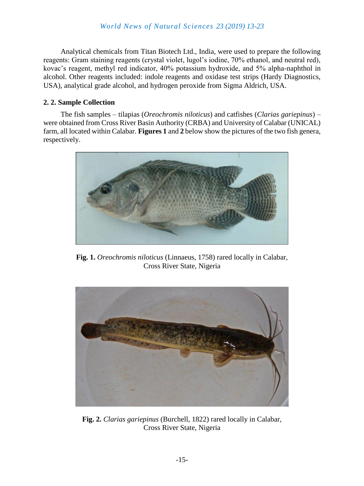Analytical chemicals from Titan Biotech Ltd., India, were used to prepare the following reagents: Gram staining reagents (crystal violet, lugol's iodine, 70% ethanol, and neutral red), kovac's reagent, methyl red indicator, 40% potassium hydroxide, and 5% alpha-naphthol in alcohol. Other reagents included: indole reagents and oxidase test strips (Hardy Diagnostics, USA), analytical grade alcohol, and hydrogen peroxide from Sigma Aldrich, USA.

# **2. 2. Sample Collection**

The fish samples – tilapias (*Oreochromis niloticus*) and catfishes (*Clarias gariepinus*) – were obtained from Cross River Basin Authority (CRBA) and University of Calabar (UNICAL) farm, all located within Calabar. **Figures 1** and **2** below show the pictures of the two fish genera, respectively.



**Fig. 1.** *Oreochromis niloticus* (Linnaeus, 1758) rared locally in Calabar, Cross River State, Nigeria



**Fig. 2.** *Clarias gariepinus* [\(Burchell,](https://pl.wikipedia.org/w/index.php?title=William_John_Burchell&action=edit&redlink=1) 1822) rared locally in Calabar, Cross River State, Nigeria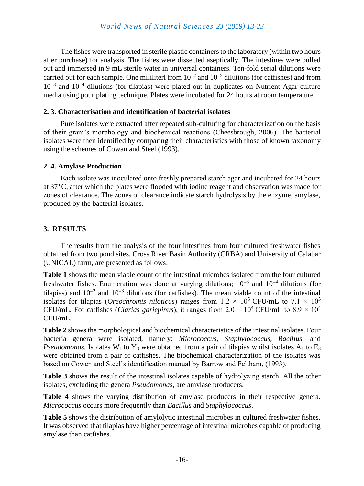The fishes were transported in sterile plastic containers to the laboratory (within two hours after purchase) for analysis. The fishes were dissected aseptically. The intestines were pulled out and immersed in 9 mL sterile water in universal containers. Ten-fold serial dilutions were carried out for each sample. One mililiterl from  $10^{-2}$  and  $10^{-3}$  dilutions (for catfishes) and from  $10^{-3}$  and  $10^{-4}$  dilutions (for tilapias) were plated out in duplicates on Nutrient Agar culture media using pour plating technique. Plates were incubated for 24 hours at room temperature.

## **2. 3. Characterisation and identification of bacterial isolates**

Pure isolates were extracted after repeated sub-culturing for characterization on the basis of their gram's morphology and biochemical reactions (Cheesbrough, 2006). The bacterial isolates were then identified by comparing their characteristics with those of known taxonomy using the schemes of Cowan and Steel (1993).

# **2. 4. Amylase Production**

Each isolate was inoculated onto freshly prepared starch agar and incubated for 24 hours at 37 ºC, after which the plates were flooded with iodine reagent and observation was made for zones of clearance. The zones of clearance indicate starch hydrolysis by the enzyme, amylase, produced by the bacterial isolates.

# **3. RESULTS**

The results from the analysis of the four intestines from four cultured freshwater fishes obtained from two pond sites, Cross River Basin Authority (CRBA) and University of Calabar (UNICAL) farm, are presented as follows:

**Table 1** shows the mean viable count of the intestinal microbes isolated from the four cultured freshwater fishes. Enumeration was done at varying dilutions;  $10^{-3}$  and  $10^{-4}$  dilutions (for tilapias) and  $10^{-2}$  and  $10^{-3}$  dilutions (for catfishes). The mean viable count of the intestinal isolates for tilapias (*Oreochromis niloticus*) ranges from  $1.2 \times 10^5$  CFU/mL to  $7.1 \times 10^5$ CFU/mL. For catfishes (*Clarias gariepinus*), it ranges from  $2.0 \times 10^4$  CFU/mL to  $8.9 \times 10^4$ CFU/mL.

**Table 2** shows the morphological and biochemical characteristics of the intestinal isolates. Four bacteria genera were isolated, namely: *Micrococcus*, *Staphylococcus, Bacillus*, and *Pseudomonas.* Isolates W<sub>1</sub> to Y<sub>3</sub> were obtained from a pair of tilapias whilst isolates A<sub>1</sub> to E<sub>3</sub> were obtained from a pair of catfishes. The biochemical characterization of the isolates was based on Cowen and Steel's identification manual by Barrow and Feltham, (1993).

**Table 3** shows the result of the intestinal isolates capable of hydrolyzing starch. All the other isolates, excluding the genera *Pseudomonas,* are amylase producers.

**Table 4** shows the varying distribution of amylase producers in their respective genera. *Micrococcus* occurs more frequently than *Bacillus* and *Staphylococcus*.

**Table 5** shows the distribution of amylolytic intestinal microbes in cultured freshwater fishes. It was observed that tilapias have higher percentage of intestinal microbes capable of producing amylase than catfishes.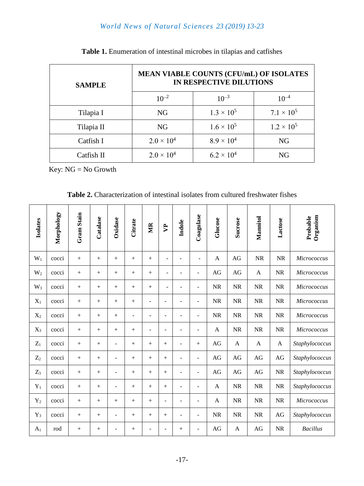# *World News of Natural Sciences 23 (2019) 13-23*

| <b>SAMPLE</b> | <b>MEAN VIABLE COUNTS (CFU/mL) OF ISOLATES</b><br>IN RESPECTIVE DILUTIONS |                     |                     |  |  |  |  |
|---------------|---------------------------------------------------------------------------|---------------------|---------------------|--|--|--|--|
|               | $10^{-2}$                                                                 | $10^{-3}$           | $10^{-4}$           |  |  |  |  |
| Tilapia I     | <b>NG</b>                                                                 | $1.3 \times 10^{5}$ | $7.1 \times 10^5$   |  |  |  |  |
| Tilapia II    | <b>NG</b>                                                                 | $1.6 \times 10^{5}$ | $1.2 \times 10^{5}$ |  |  |  |  |
| Catfish I     | $2.0 \times 10^{4}$                                                       | $8.9 \times 10^{4}$ | NG                  |  |  |  |  |
| Catfish II    | $2.0 \times 10^{4}$                                                       | $6.2 \times 10^{4}$ | <b>NG</b>           |  |  |  |  |

**Table 1.** Enumeration of intestinal microbes in tilapias and catfishes

Key: NG = No Growth

| <b>Table 2.</b> Characterization of intestinal isolates from cultured freshwater fishes |  |  |  |  |
|-----------------------------------------------------------------------------------------|--|--|--|--|
|-----------------------------------------------------------------------------------------|--|--|--|--|

| <b>Isolates</b> | Morphology | Gram Stain | Catalase | Oxidase                  | Citrate | МR                       | <b>P</b>                     | Indole                   | Coagulase                | Glucose      | <b>Sucrose</b> | Mannitol  | Lactose   | Organism<br>Probable |
|-----------------|------------|------------|----------|--------------------------|---------|--------------------------|------------------------------|--------------------------|--------------------------|--------------|----------------|-----------|-----------|----------------------|
| $W_1$           | cocci      | $\! +$     | $^{+}$   |                          | $^{+}$  | $^{+}$                   | ÷                            | $\overline{a}$           | $\sim$                   | $\mathbf{A}$ | AG             | <b>NR</b> | <b>NR</b> | Micrococcus          |
| $W_2$           | cocci      |            | $+$      |                          | $+$     | $+$                      | $\qquad \qquad \blacksquare$ | $\overline{\phantom{0}}$ | $\overline{\phantom{a}}$ | AG           | AG             | A         | <b>NR</b> | Micrococcus          |
| $W_3$           | cocci      | $+$        | $+$      | $+$                      | $+$     | $^{+}$                   | $\blacksquare$               | ÷                        | $\overline{\phantom{0}}$ | NR           | <b>NR</b>      | <b>NR</b> | NR        | Micrococcus          |
| $X_1$           | cocci      | $\! +$     | $+$      |                          | $+$     | $\overline{\phantom{a}}$ | ÷,                           | $\blacksquare$           | $\overline{\phantom{a}}$ | NR           | <b>NR</b>      | <b>NR</b> | <b>NR</b> | Micrococcus          |
| $X_2$           | cocci      |            | $+$      | $+$                      | ۰       | $\overline{\phantom{0}}$ | ۰                            | $\overline{\phantom{0}}$ | $\overline{\phantom{0}}$ | NR           | <b>NR</b>      | $\rm NR$  | <b>NR</b> | Micrococcus          |
| $X_3$           | cocci      |            | $^{+}$   |                          | $^{+}$  | $\blacksquare$           | $\blacksquare$               | $\blacksquare$           | $\blacksquare$           | $\mathbf{A}$ | <b>NR</b>      | NR        | <b>NR</b> | Micrococcus          |
| $Z_1$           | cocci      | $\! +$     | $^{+}$   | ۰                        | $+$     | $^{+}$                   | $^{+}$                       | $\overline{\phantom{0}}$ | $^{+}$                   | AG           | $\mathbf{A}$   | A         | A         | Staphylococcus       |
| $Z_2$           | cocci      | $\! +$     | $+$      | $\blacksquare$           | $+$     | $^{+}$                   | $+$                          | $\blacksquare$           | $\blacksquare$           | AG           | AG             | AG        | AG        | Staphylococcus       |
| $Z_3$           | cocci      | $^{+}$     | $+$      | $\overline{a}$           | $^{+}$  | $^{+}$                   | $^{+}$                       | $\blacksquare$           | $\overline{\phantom{a}}$ | AG           | AG             | AG        | <b>NR</b> | Staphylococcus       |
| $Y_1$           | cocci      | $+$        | $+$      | ۰                        | $+$     | $+$                      | $+$                          | $\blacksquare$           | ۰                        | $\mathbf{A}$ | <b>NR</b>      | <b>NR</b> | NR        | Staphylococcus       |
| $Y_2$           | cocci      | $\! +$     | $+$      | $+$                      | $+$     | $^{+}$                   | $\overline{\phantom{a}}$     | $\overline{\phantom{a}}$ | $\overline{a}$           | A            | <b>NR</b>      | <b>NR</b> | <b>NR</b> | Micrococcus          |
| $Y_3$           | cocci      | $^{+}$     | $+$      | $\overline{\phantom{a}}$ | $^{+}$  | $^{+}$                   | $^{+}$                       | $\overline{\phantom{a}}$ | $\overline{\phantom{a}}$ | NR           | <b>NR</b>      | <b>NR</b> | AG        | Staphylococcus       |
| A <sub>1</sub>  | rod        |            | $^{+}$   | ۰                        | $^{+}$  | $\overline{\phantom{a}}$ | $\overline{\phantom{a}}$     | $^{+}$                   | $\overline{a}$           | AG           | A              | AG        | <b>NR</b> | <b>Bacillus</b>      |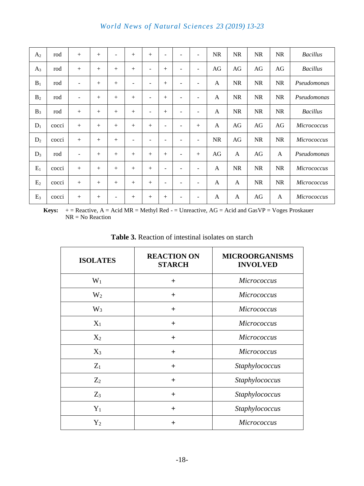| A <sub>2</sub> | rod   | $+$                      | $+$    | $\overline{\phantom{a}}$ | $^{+}$                   | $^{+}$                   | $\overline{a}$    | ۰                        | $\overline{\phantom{a}}$ | <b>NR</b> | <b>NR</b> | <b>NR</b> | <b>NR</b>    | <b>Bacillus</b>    |
|----------------|-------|--------------------------|--------|--------------------------|--------------------------|--------------------------|-------------------|--------------------------|--------------------------|-----------|-----------|-----------|--------------|--------------------|
| $A_3$          | rod   |                          | $+$    | $+$                      | $+$                      | ٠                        | $^{+}$            | ۰                        | ۰                        | AG        | AG        | AG        | AG           | <b>Bacillus</b>    |
| $B_1$          | rod   | -                        | $^{+}$ | $+$                      | -                        | $\overline{\phantom{0}}$ | $+$               | ۰                        | ٠                        | A         | <b>NR</b> | <b>NR</b> | NR           | Pseudomonas        |
| $B_2$          | rod   | $\qquad \qquad -$        | $^{+}$ | $+$                      | $+$                      | $\qquad \qquad -$        | $^{+}$            | $\overline{\phantom{a}}$ | $\overline{\phantom{a}}$ | A         | <b>NR</b> | NR        | <b>NR</b>    | Pseudomonas        |
| $B_3$          | rod   | $^{+}$                   | $^{+}$ | $+$                      | $+$                      | $\overline{\phantom{a}}$ | $+$               | $\overline{\phantom{a}}$ | $\overline{\phantom{a}}$ | A         | <b>NR</b> | <b>NR</b> | NR           | <b>Bacillus</b>    |
| $D_1$          | cocci | $+$                      | $^{+}$ | $+$                      | $+$                      | $^{+}$                   | ۰                 | ۰                        | $^{+}$                   | A         | AG        | AG        | AG           | Micrococcus        |
| $D_2$          | cocci | $^{+}$                   | $^{+}$ | $+$                      | $\overline{\phantom{a}}$ | $\overline{\phantom{a}}$ | ۰                 | ۰                        | $\overline{\phantom{0}}$ | <b>NR</b> | AG        | <b>NR</b> | NR           | Micrococcus        |
| $D_3$          | rod   | $\overline{\phantom{a}}$ | $+$    | $+$                      | $+$                      | $^{+}$                   | $+$               | ۰                        | $+$                      | AG        | A         | AG        | A            | Pseudomonas        |
| $E_1$          | cocci | $^{+}$                   | $^{+}$ | $+$                      | $+$                      | $^{+}$                   | $\qquad \qquad -$ | $\overline{\phantom{a}}$ | $\overline{\phantom{a}}$ | A         | <b>NR</b> | NR        | NR           | Micrococcus        |
| E <sub>2</sub> | cocci |                          | $+$    | $+$                      | $+$                      | $^{+}$                   | ۰                 | -                        | ۰                        | A         | A         | NR        | NR           | Micrococcus        |
| $E_3$          | cocci | $^{+}$                   | $^{+}$ | -                        | $+$                      | $^{+}$                   | $^{+}$            | $\overline{\phantom{a}}$ | $\overline{\phantom{a}}$ | A         | A         | AG        | $\mathbf{A}$ | <b>Micrococcus</b> |

**Keys:**  $+$  = Reactive, A = Acid MR = Methyl Red  $-$  = Unreactive, AG = Acid and GasVP = Voges Proskauer NR = No Reaction

| <b>ISOLATES</b> | <b>REACTION ON</b><br><b>STARCH</b> | <b>MICROORGANISMS</b><br><b>INVOLVED</b> |
|-----------------|-------------------------------------|------------------------------------------|
| $W_1$           | $+$                                 | Micrococcus                              |
| W <sub>2</sub>  | $+$                                 | <b>Micrococcus</b>                       |
| $W_3$           | $+$                                 | <b>Micrococcus</b>                       |
| $X_1$           | $+$                                 | Micrococcus                              |
| $X_2$           | $+$                                 | <b>Micrococcus</b>                       |
| $X_3$           | $+$                                 | Micrococcus                              |
| $Z_1$           | $+$                                 | Staphylococcus                           |
| $Z_2$           | $+$                                 | Staphylococcus                           |
| $Z_3$           | $+$                                 | Staphylococcus                           |
| $Y_1$           | $+$                                 | Staphylococcus                           |
| $Y_2$           | $\pm$                               | Micrococcus                              |

**Table 3.** Reaction of intestinal isolates on starch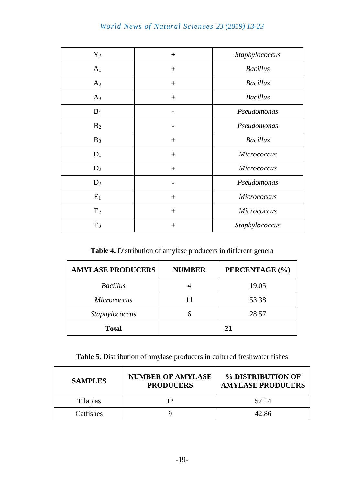# *World News of Natural Sciences 23 (2019) 13-23*

| $Y_3$          | $+$   | Staphylococcus  |
|----------------|-------|-----------------|
| A <sub>1</sub> | $+$   | <b>Bacillus</b> |
| A <sub>2</sub> | $+$   | <b>Bacillus</b> |
| $A_3$          | $+$   | <b>Bacillus</b> |
| $B_1$          |       | Pseudomonas     |
| B <sub>2</sub> |       | Pseudomonas     |
| $B_3$          | $\pm$ | <b>Bacillus</b> |
| $D_1$          | $+$   | Micrococcus     |
| D <sub>2</sub> | $+$   | Micrococcus     |
| $D_3$          |       | Pseudomonas     |
| $E_1$          | $\pm$ | Micrococcus     |
| E <sub>2</sub> | $+$   | Micrococcus     |
| E <sub>3</sub> | $\pm$ | Staphylococcus  |

**Table 4.** Distribution of amylase producers in different genera

| <b>AMYLASE PRODUCERS</b> | <b>NUMBER</b> | PERCENTAGE (%) |
|--------------------------|---------------|----------------|
| <b>Bacillus</b>          |               | 19.05          |
| <b>Micrococcus</b>       |               | 53.38          |
| Staphylococcus           |               | 28.57          |
| <b>Total</b>             |               | 21             |

**Table 5.** Distribution of amylase producers in cultured freshwater fishes

| <b>SAMPLES</b>  | <b>NUMBER OF AMYLASE</b><br><b>PRODUCERS</b> | % DISTRIBUTION OF<br><b>AMYLASE PRODUCERS</b> |
|-----------------|----------------------------------------------|-----------------------------------------------|
| <b>Tilapias</b> |                                              | 57.14                                         |
| Catfishes       |                                              | 42.86                                         |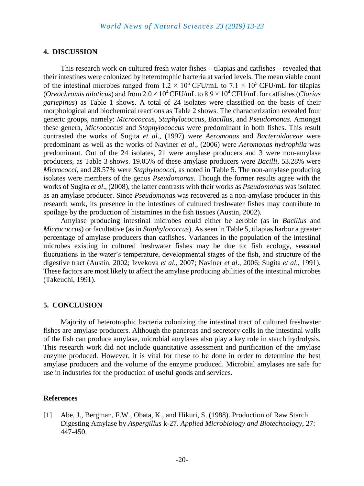### **4. DISCUSSION**

This research work on cultured fresh water fishes – tilapias and catfishes – revealed that their intestines were colonized by heterotrophic bacteria at varied levels. The mean viable count of the intestinal microbes ranged from  $1.2 \times 10^5$  CFU/mL to  $7.1 \times 10^5$  CFU/mL for tilapias (*Oreochromis niloticus*) and from  $2.0 \times 10^4$  CFU/mL to  $8.9 \times 10^4$  CFU/mL for catfishes (*Clarias gariepinus*) as Table 1 shows. A total of 24 isolates were classified on the basis of their morphological and biochemical reactions as Table 2 shows. The characterization revealed four generic groups, namely: *Micrococcus*, *Staphylococcus, Bacillus*, and *Pseudomonas.* Amongst these genera, *Micrococcus* and *Staphylococcus* were predominant in both fishes. This result contrasted the works of Sugita *et al*., (1997) wer*e Aeromonas* and *Bacteroidaceae* were predominant as well as the works of Naviner *et al*., (2006) were *Aeromonas hydrophila* was predominant. Out of the 24 isolates, 21 were amylase producers and 3 were non-amylase producers, as Table 3 shows. 19.05% of these amylase producers were *Bacilli*, 53.28% were *Micrococci*, and 28.57% were *Staphylococci*, as noted in Table 5. The non-amylase producing isolates were members of the genus *Pseudomonas*. Though the former results agree with the works of Sugita *et al*., (2008), the latter contrasts with their works as *Pseudomonas* was isolated as an amylase producer. Since *Pseudomonas* was recovered as a non-amylase producer in this research work, its presence in the intestines of cultured freshwater fishes may contribute to spoilage by the production of histamines in the fish tissues (Austin, 2002).

Amylase producing intestinal microbes could either be aerobic (as in *Bacillus* and *Micrococcus*) or facultative (as in *Staphylococcus*). As seen in Table 5, tilapias harbor a greater percentage of amylase producers than catfishes. Variances in the population of the intestinal microbes existing in cultured freshwater fishes may be due to: fish ecology, seasonal fluctuations in the water's temperature, developmental stages of the fish, and structure of the digestive tract (Austin, 2002; Izvekova *et al*., 2007; Naviner *et al*., 2006; Sugita *et al*., 1991). These factors are most likely to affect the amylase producing abilities of the intestinal microbes (Takeuchi, 1991).

#### **5. CONCLUSION**

Majority of heterotrophic bacteria colonizing the intestinal tract of cultured freshwater fishes are amylase producers. Although the pancreas and secretory cells in the intestinal walls of the fish can produce amylase, microbial amylases also play a key role in starch hydrolysis. This research work did not include quantitative assessment and purification of the amylase enzyme produced. However, it is vital for these to be done in order to determine the best amylase producers and the volume of the enzyme produced. Microbial amylases are safe for use in industries for the production of useful goods and services.

#### **References**

[1] Abe, J., Bergman, F.W., Obata, K., and Hikuri, S. (1988). Production of Raw Starch Digesting Amylase by *Aspergillus* k-27. *Applied Microbiology and Biotechnology*, 27: 447-450.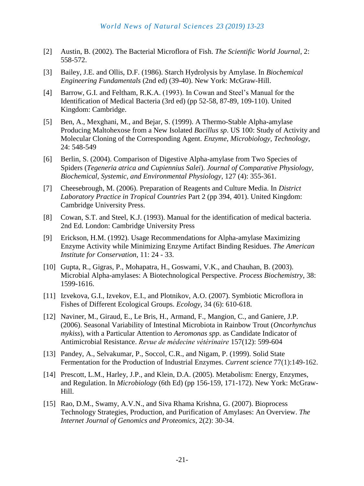- [2] Austin, B. (2002). The Bacterial Microflora of Fish. *The Scientific World Journal*, 2: 558-572.
- [3] Bailey, J.E. and Ollis, D.F. (1986). Starch Hydrolysis by Amylase. In *Biochemical Engineering Fundamentals* (2nd ed) (39-40). New York: McGraw-Hill.
- [4] Barrow, G.I. and Feltham, R.K.A. (1993). In Cowan and Steel's Manual for the Identification of Medical Bacteria (3rd ed) (pp 52-58, 87-89, 109-110). United Kingdom: Cambridge.
- [5] Ben, A., Mexghani, M., and Bejar, S. (1999). A Thermo-Stable Alpha-amylase Producing Maltohexose from a New Isolated *Bacillus sp*. US 100: Study of Activity and Molecular Cloning of the Corresponding Agent. *Enzyme, Microbiology, Technology*, 24: 548-549
- [6] Berlin, S. (2004). Comparison of Digestive Alpha-amylase from Two Species of Spiders (*Tegeneria atrica and Cupiennius Salei*). *Journal of Comparative Physiology, Biochemical, Systemic, and Environmental Physiology*, 127 (4): 355-361.
- [7] Cheesebrough, M. (2006). Preparation of Reagents and Culture Media. In *District Laboratory Practice in Tropical Countries* Part 2 (pp 394, 401). United Kingdom: Cambridge University Press.
- [8] Cowan, S.T. and Steel, K.J. (1993). Manual for the identification of medical bacteria. 2nd Ed. London: Cambridge University Press
- [9] Erickson, H.M. (1992). Usage Recommendations for Alpha-amylase Maximizing Enzyme Activity while Minimizing Enzyme Artifact Binding Residues. *The American Institute for Conservation*, 11: 24 - 33.
- [10] Gupta, R., Gigras, P., Mohapatra, H., Goswami, V.K., and Chauhan, B. (2003). Microbial Alpha-amylases: A Biotechnological Perspective. *Process Biochemistry*, 38: 1599-1616.
- [11] Izvekova, G.I., Izvekov, E.I., and Plotnikov, A.O. (2007). Symbiotic Microflora in Fishes of Different Ecological Groups. *Ecology*, 34 (6): 610-618.
- [12] Naviner, M., Giraud, E., Le Bris, H., Armand, F., Mangion, C., and Ganiere, J.P. (2006). Seasonal Variability of Intestinal Microbiota in Rainbow Trout (*Oncorhynchus mykiss*), with a Particular Attention to *Aeromonas spp*. as Candidate Indicator of Antimicrobial Resistance. *[Revue de médecine vétérinaire](https://www.researchgate.net/journal/0035-1555_Revue_de_medecine_veterinaire)* 157(12): 599-604
- [13] Pandey, A., Selvakumar, P., Soccol, C.R., and Nigam, P. (1999). Solid State Fermentation for the Production of Industrial Enzymes. *[Current](https://www.researchgate.net/journal/0011-3891_Current_science) science* 77(1):149-162.
- [14] Prescott, L.M., Harley, J.P., and Klein, D.A. (2005). Metabolism: Energy, Enzymes, and Regulation. In *Microbiology* (6th Ed) (pp 156-159, 171-172). New York: McGraw-Hill.
- [15] Rao, D.M., Swamy, A.V.N., and Siva Rhama Krishna, G. (2007). Bioprocess Technology Strategies, Production, and Purification of Amylases: An Overview. *The Internet Journal of Genomics and Proteomics*, 2(2): 30-34.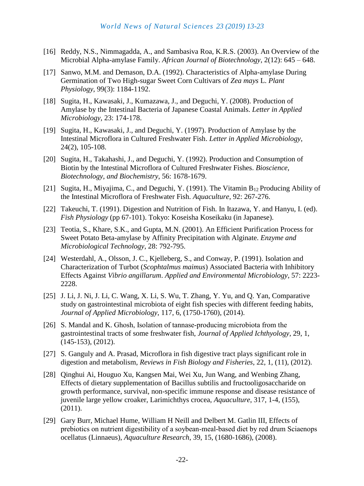- [16] Reddy, N.S., Nimmagadda, A., and Sambasiva Roa, K.R.S. (2003). An Overview of the Microbial Alpha-amylase Family. *African Journal of Biotechnology*, 2(12): 645 – 648.
- [17] Sanwo, M.M. and Demason, D.A. (1992). Characteristics of Alpha-amylase During Germination of Two High-sugar Sweet Corn Cultivars of *Zea mays* L. *Plant Physiology*, 99(3): 1184-1192.
- [18] Sugita, H., Kawasaki, J., Kumazawa, J., and Deguchi, Y. (2008). Production of Amylase by the Intestinal Bacteria of Japanese Coastal Animals. *Letter in Applied Microbiology*, 23: 174-178.
- [19] Sugita, H., Kawasaki, J., and Deguchi, Y. (1997). Production of Amylase by the Intestinal Microflora in Cultured Freshwater Fish. *Letter in Applied Microbiology*, 24(2), 105-108.
- [20] Sugita, H., Takahashi, J., and Deguchi, Y. (1992). Production and Consumption of Biotin by the Intestinal Microflora of Cultured Freshwater Fishes. *Bioscience, Biotechnology, and Biochemistry*, 56: 1678-1679.
- [21] Sugita, H., Miyajima, C., and Deguchi, Y. (1991). The Vitamin B12 Producing Ability of the Intestinal Microflora of Freshwater Fish. *Aquaculture*, 92: 267-276.
- [22] Takeuchi, T. (1991). Digestion and Nutrition of Fish. In Itazawa, Y. and Hanyu, I. (ed). *Fish Physiology* (pp 67-101). Tokyo: Koseisha Koseikaku (in Japanese).
- [23] Teotia, S., Khare, S.K., and Gupta, M.N. (2001). An Efficient Purification Process for Sweet Potato Beta-amylase by Affinity Precipitation with Alginate. *Enzyme and Microbiological Technology*, 28: 792-795.
- [24] Westerdahl, A., Olsson, J. C., Kjelleberg, S., and Conway, P. (1991). Isolation and Characterization of Turbot (*Scophtalmus maimus*) Associated Bacteria with Inhibitory Effects Against *Vibrio angillarum*. *Applied and Environmental Microbiology*, 57: 2223- 2228.
- [25] J. Li, J. Ni, J. Li, C. Wang, X. Li, S. Wu, T. Zhang, Y. Yu, and Q. Yan, Comparative study on gastrointestinal microbiota of eight fish species with different feeding habits, *Journal of Applied Microbiology*, 117, 6, (1750-1760), (2014).
- [26] S. Mandal and K. Ghosh, Isolation of tannase-producing microbiota from the gastrointestinal tracts of some freshwater fish, *Journal of Applied Ichthyology*, 29, 1, (145-153), (2012).
- [27] S. Ganguly and A. Prasad, Microflora in fish digestive tract plays significant role in digestion and metabolism, *Reviews in Fish Biology and Fisheries*, 22, 1, (11), (2012).
- [28] Qinghui Ai, Houguo Xu, Kangsen Mai, Wei Xu, Jun Wang, and Wenbing Zhang, Effects of dietary supplementation of Bacillus subtilis and fructooligosaccharide on growth performance, survival, non-specific immune response and disease resistance of juvenile large yellow croaker, Larimichthys crocea, *Aquaculture*, 317, 1-4, (155), (2011).
- [29] Gary Burr, Michael Hume, William H Neill and Delbert M. Gatlin III, Effects of prebiotics on nutrient digestibility of a soybean-meal-based diet by red drum Sciaenops ocellatus (Linnaeus), *Aquaculture Research*, 39, 15, (1680-1686), (2008).